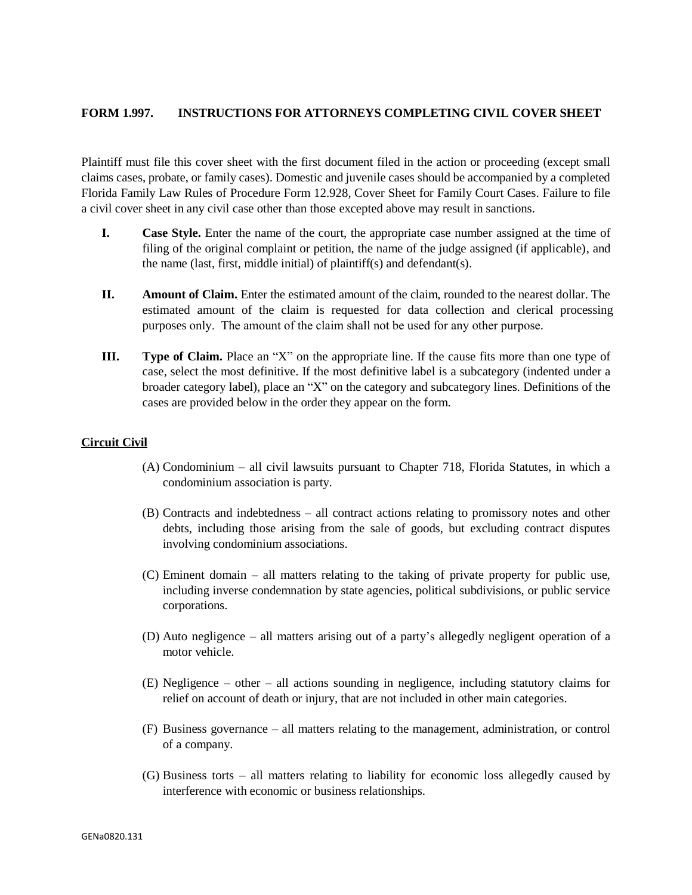## **FORM 1.997. INSTRUCTIONS FOR ATTORNEYS COMPLETING CIVIL COVER SHEET**

Plaintiff must file this cover sheet with the first document filed in the action or proceeding (except small claims cases, probate, or family cases). Domestic and juvenile cases should be accompanied by a completed Florida Family Law Rules of Procedure Form 12.928, Cover Sheet for Family Court Cases. Failure to file a civil cover sheet in any civil case other than those excepted above may result in sanctions.

- **I. Case Style.** Enter the name of the court, the appropriate case number assigned at the time of filing of the original complaint or petition, the name of the judge assigned (if applicable), and the name (last, first, middle initial) of plaintiff(s) and defendant(s).
- **II. Amount of Claim.** Enter the estimated amount of the claim, rounded to the nearest dollar. The estimated amount of the claim is requested for data collection and clerical processing purposes only. The amount of the claim shall not be used for any other purpose.
- **III. Type of Claim.** Place an "X" on the appropriate line. If the cause fits more than one type of case, select the most definitive. If the most definitive label is a subcategory (indented under a broader category label), place an "X" on the category and subcategory lines. Definitions of the cases are provided below in the order they appear on the form.

## **Circuit Civil**

- (A) Condominium all civil lawsuits pursuant to Chapter 718, Florida Statutes, in which a condominium association is party.
- (B) Contracts and indebtedness all contract actions relating to promissory notes and other debts, including those arising from the sale of goods, but excluding contract disputes involving condominium associations.
- (C) Eminent domain all matters relating to the taking of private property for public use, including inverse condemnation by state agencies, political subdivisions, or public service corporations.
- (D) Auto negligence all matters arising out of a party's allegedly negligent operation of a motor vehicle.
- (E) Negligence other all actions sounding in negligence, including statutory claims for relief on account of death or injury, that are not included in other main categories.
- (F) Business governance all matters relating to the management, administration, or control of a company.
- (G) Business torts all matters relating to liability for economic loss allegedly caused by interference with economic or business relationships.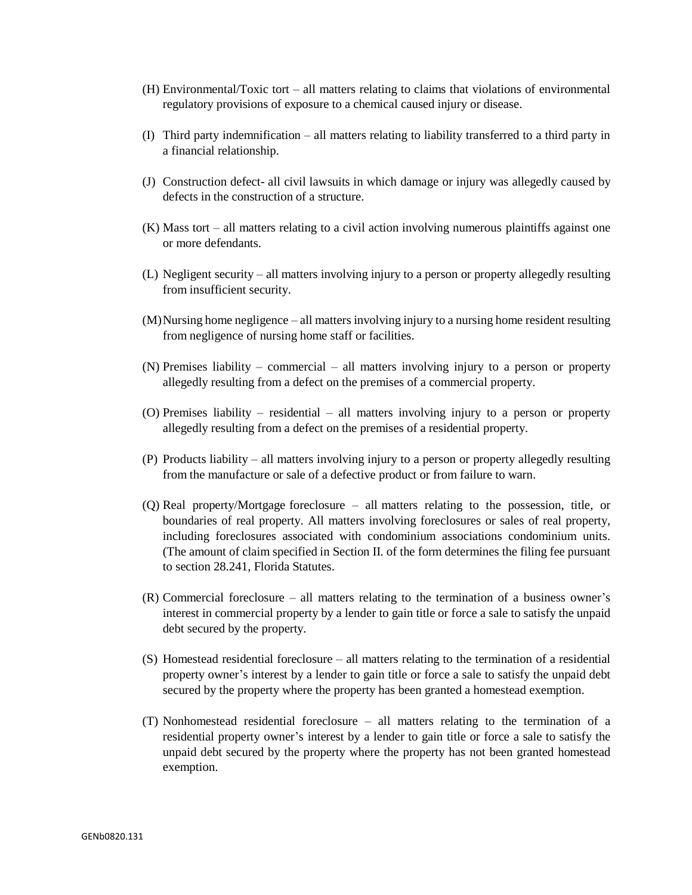- (H) Environmental/Toxic tort all matters relating to claims that violations of environmental regulatory provisions of exposure to a chemical caused injury or disease.
- (I) Third party indemnification all matters relating to liability transferred to a third party in a financial relationship.
- (J) Construction defect- all civil lawsuits in which damage or injury was allegedly caused by defects in the construction of a structure.
- (K) Mass tort all matters relating to a civil action involving numerous plaintiffs against one or more defendants.
- (L) Negligent security all matters involving injury to a person or property allegedly resulting from insufficient security.
- (M)Nursing home negligence all matters involving injury to a nursing home resident resulting from negligence of nursing home staff or facilities.
- (N) Premises liability commercial all matters involving injury to a person or property allegedly resulting from a defect on the premises of a commercial property.
- (O) Premises liability residential all matters involving injury to a person or property allegedly resulting from a defect on the premises of a residential property.
- (P) Products liability all matters involving injury to a person or property allegedly resulting from the manufacture or sale of a defective product or from failure to warn.
- (Q) Real property/Mortgage foreclosure all matters relating to the possession, title, or boundaries of real property. All matters involving foreclosures or sales of real property, including foreclosures associated with condominium associations condominium units. (The amount of claim specified in Section II. of the form determines the filing fee pursuant to section 28.241, Florida Statutes.
- (R) Commercial foreclosure all matters relating to the termination of a business owner's interest in commercial property by a lender to gain title or force a sale to satisfy the unpaid debt secured by the property.
- (S) Homestead residential foreclosure all matters relating to the termination of a residential property owner's interest by a lender to gain title or force a sale to satisfy the unpaid debt secured by the property where the property has been granted a homestead exemption.
- (T) Nonhomestead residential foreclosure all matters relating to the termination of a residential property owner's interest by a lender to gain title or force a sale to satisfy the unpaid debt secured by the property where the property has not been granted homestead exemption.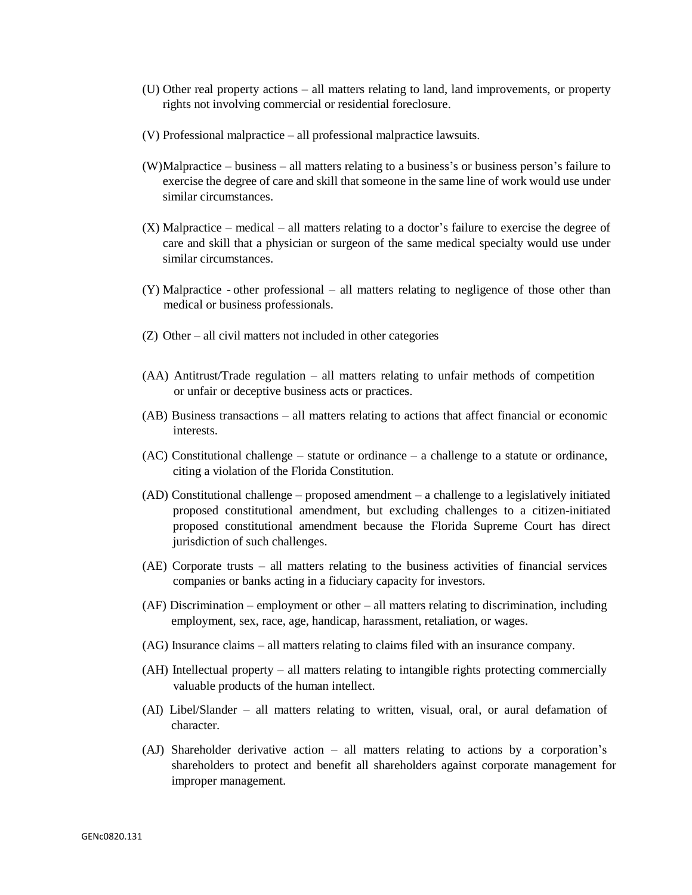- (U) Other real property actions all matters relating to land, land improvements, or property rights not involving commercial or residential foreclosure.
- (V) Professional malpractice all professional malpractice lawsuits.
- (W)Malpractice business all matters relating to a business's or business person's failure to exercise the degree of care and skill that someone in the same line of work would use under similar circumstances.
- (X) Malpractice medical all matters relating to a doctor's failure to exercise the degree of care and skill that a physician or surgeon of the same medical specialty would use under similar circumstances.
- (Y) Malpractice other professional all matters relating to negligence of those other than medical or business professionals.
- (Z) Other all civil matters not included in other categories
- (AA) Antitrust/Trade regulation all matters relating to unfair methods of competition or unfair or deceptive business acts or practices.
- (AB) Business transactions all matters relating to actions that affect financial or economic interests.
- $(AC)$  Constitutional challenge statute or ordinance a challenge to a statute or ordinance, citing a violation of the Florida Constitution.
- (AD) Constitutional challenge proposed amendment a challenge to a legislatively initiated proposed constitutional amendment, but excluding challenges to a citizen-initiated proposed constitutional amendment because the Florida Supreme Court has direct jurisdiction of such challenges.
- (AE) Corporate trusts all matters relating to the business activities of financial services companies or banks acting in a fiduciary capacity for investors.
- (AF) Discrimination employment or other all matters relating to discrimination, including employment, sex, race, age, handicap, harassment, retaliation, or wages.
- (AG) Insurance claims all matters relating to claims filed with an insurance company.
- (AH) Intellectual property all matters relating to intangible rights protecting commercially valuable products of the human intellect.
- (AI) Libel/Slander all matters relating to written, visual, oral, or aural defamation of character.
- (AJ) Shareholder derivative action all matters relating to actions by a corporation's shareholders to protect and benefit all shareholders against corporate management for improper management.